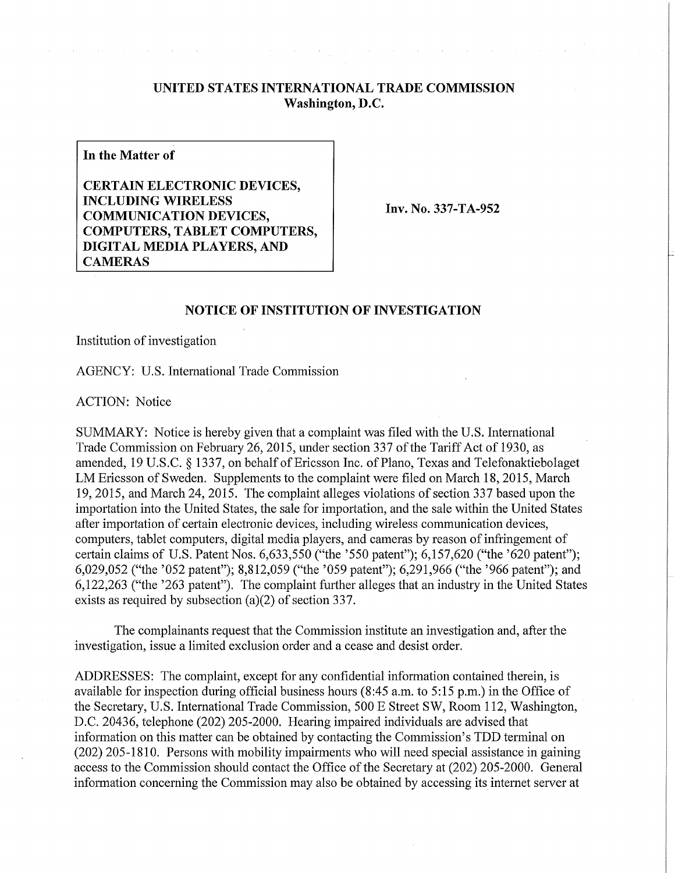## **UNITED STATES INTERNATIONAL TRADE COMMISSION Washington, D.C.**

**In the Matter of** 

**CERTAIN ELECTRONIC DEVICES, INCLUDING WIRELES S COMMUNICATION DEVICES, COMPUTERS, TABLET COMPUTERS, DIGITAL MEDIA PLAYERS, AND CAMERAS** 

**Inv. No. 337-TA-952** 

## **NOTICE OF INSTITUTION OF INVESTIGATION**

Institution of investigation

AGENCY: U.S. International Trade Commission

ACTION: Notice

SUMMARY: Notice is hereby given that a complaint was filed with the U.S. International Trade Commission on February 26, 2015, under section 337 of the Tariff Act of 1930, as amended, 19 U.S.C. § 1337, on behalf of Ericsson Inc. of Piano, Texas and Telefonaktiebolaget LM Ericsson of Sweden. Supplements to the complaint were filed on March 18, 2015, March 19,2015, and March 24, 2015. The complaint alleges violations of section 337 based upon the importation into the United States, the sale for importation, and the sale within the United States after importation of certain electronic devices, including wireless communication devices, computers, tablet computers, digital media players, and cameras by reason of infringement of certain claims of U.S. Patent Nos. 6,633,550 ("the '550 patent"); 6,157,620 ("the '620 patent"); 6,029,052 ("the '052 patent"); 8,812,059 ("the '059 patent"); 6,291,966 ("the '966 patent"); and 6,122,263 ("the '263 patent"). The complaint further alleges that an industry in the United States exists as required by subsection (a)(2) of section 337.

The complainants request that the Commission institute an investigation and, after the investigation, issue a limited exclusion order and a cease and desist order.

ADDRESSES: The complaint, except for any confidential information contained therein, is available for inspection during official business hours (8:45 a.m. to 5:15 p.m.) in the Office of the Secretary, U.S. International Trade Commission, 500 E Street SW, Room 112, Washington, D.C. 20436, telephone (202) 205-2000. Hearing impaired individuals are advised that information on this matter can be obtained by contacting the Commission's TDD terminal on (202) 205-1810. Persons with mobility impairments who will need special assistance in gaining access to the Commission should contact the Office of the Secretary at (202) 205-2000. General infonnation concerning the Commission may also be obtained by accessing its internet server at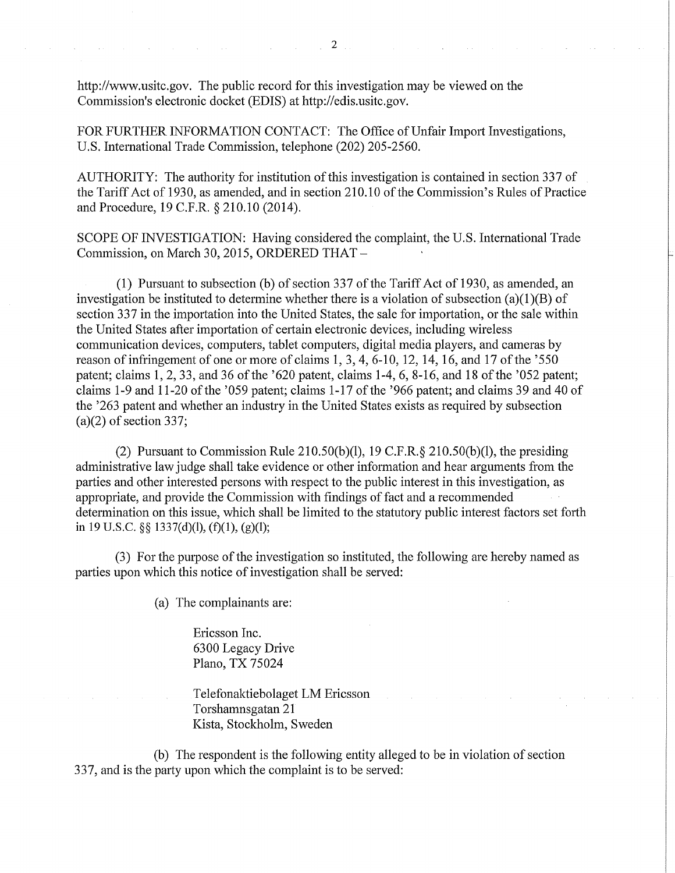http://www.usitc.gov. The public record for this investigation may be viewed on the Commission's electronic docket (EDIS) at http://edis.usitc.gov.

FOR FURTHER INFORMATION CONTACT: The Office of Unfair Import Investigations, U.S. International Trade Commission, telephone (202) 205-2560.

AUTHORITY: The authority for institution of this investigation is contained in section 337 of the Tariff Act of 1930, as amended, and in section 210.10 of the Commission's Rules of Practice and Procedure, 19 C.F.R. § 210.10 (2014).

SCOPE OF INVESTIGATION: Having considered the complaint, the U.S. International Trade Commission, on March 30, 2015, ORDERED THAT -

(1) Pursuant to subsection (b) of section 337 of the Tariff Act of 1930, as amended, an investigation be instituted to determine whether there is a violation of subsection (a)(1)(B) of section 337 in the importation into the United States, the sale for importation, or the sale within the United States after importation of certain electronic devices, including wireless communication devices, computers, tablet computers, digital media players, and cameras by reason of infringement of one or more of claims 1, 3, 4, 6-10, 12,14,16, and 17 of the '550 patent; claims 1, 2, 33, and 36 of the '620 patent, claims 1-4, 6, 8-16, and 18 of the '052 patent; claims 1-9 and 11-20 of the '059 patent; claims 1-17 of the '966 patent; and claims 39 and 40 of the '263 patent and whether an industry in the United States exists as required by subsection (a)(2) of section 337;

(2) Pursuant to Commission Rule 210.50(b)(1), 19 C.F.R.§ 210.50(b)(1), the presiding administrative law judge shall take evidence or other information and hear arguments from the parties and other interested persons with respect to the public interest in this investigation, as appropriate, and provide the Commission with findings of fact and a recommended determination on this issue, which shall be limited to the statutory public interest factors set forth in 19 U.S.C. §§ 1337(d)(1), (f)(1), (g)(1);

(3) For the puipose of the investigation so instituted, the following are hereby named as parties upon which this notice of investigation shall be served:

(a) The complainants are:

Ericsson Inc. 6300 Legacy Drive Piano, TX 75024

Telefonaktiebolaget LM Ericsson Torshamnsgatan 21 Kista, Stockholm, Sweden

(b) The respondent is the following entity alleged to be in violation of section 337, and is the party upon which the complaint is to be served: